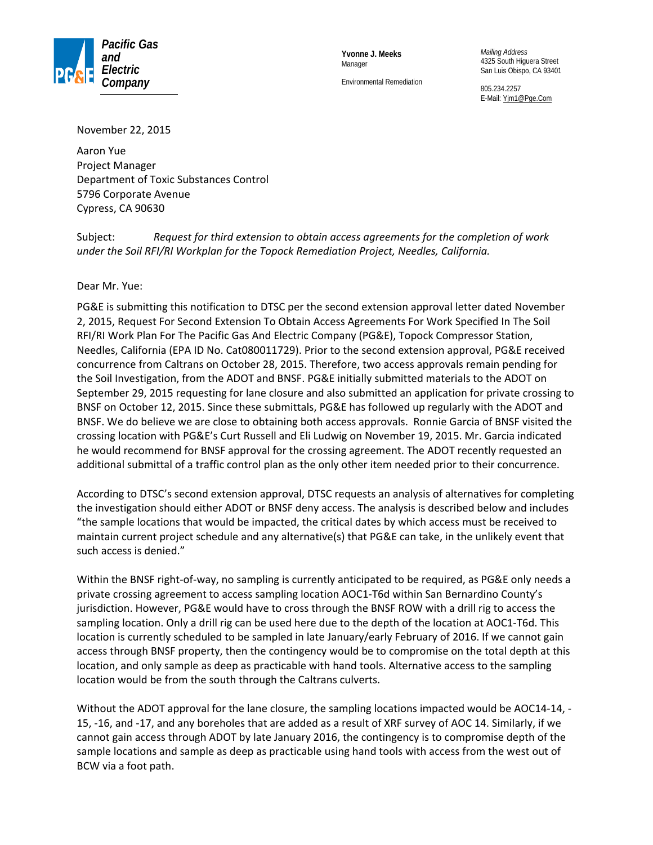

**Yvonne J. Meeks** Manager

Environmental Remediation

*Mailing Address* 4325 South Higuera Street San Luis Obispo, CA 93401

805.234.2257 E-Mail: [Yjm1@Pge.Com](mailto:YJM1@pge.com)

November 22, 2015

Aaron Yue Project Manager Department of Toxic Substances Control 5796 Corporate Avenue Cypress, CA 90630

Subject: *Request for third extension to obtain access agreements for the completion of work under the Soil RFI/RI Workplan for the Topock Remediation Project, Needles, California.*

Dear Mr. Yue:

PG&E is submitting this notification to DTSC per the second extension approval letter dated November 2, 2015, Request For Second Extension To Obtain Access Agreements For Work Specified In The Soil RFI/RI Work Plan For The Pacific Gas And Electric Company (PG&E), Topock Compressor Station, Needles, California (EPA ID No. Cat080011729). Prior to the second extension approval, PG&E received concurrence from Caltrans on October 28, 2015. Therefore, two access approvals remain pending for the Soil Investigation, from the ADOT and BNSF. PG&E initially submitted materials to the ADOT on September 29, 2015 requesting for lane closure and also submitted an application for private crossing to BNSF on October 12, 2015. Since these submittals, PG&E has followed up regularly with the ADOT and BNSF. We do believe we are close to obtaining both access approvals. Ronnie Garcia of BNSF visited the crossing location with PG&E's Curt Russell and Eli Ludwig on November 19, 2015. Mr. Garcia indicated he would recommend for BNSF approval for the crossing agreement. The ADOT recently requested an additional submittal of a traffic control plan as the only other item needed prior to their concurrence.

According to DTSC's second extension approval, DTSC requests an analysis of alternatives for completing the investigation should either ADOT or BNSF deny access. The analysis is described below and includes "the sample locations that would be impacted, the critical dates by which access must be received to maintain current project schedule and any alternative(s) that PG&E can take, in the unlikely event that such access is denied."

Within the BNSF right-of-way, no sampling is currently anticipated to be required, as PG&E only needs a private crossing agreement to access sampling location AOC1-T6d within San Bernardino County's jurisdiction. However, PG&E would have to cross through the BNSF ROW with a drill rig to access the sampling location. Only a drill rig can be used here due to the depth of the location at AOC1-T6d. This location is currently scheduled to be sampled in late January/early February of 2016. If we cannot gain access through BNSF property, then the contingency would be to compromise on the total depth at this location, and only sample as deep as practicable with hand tools. Alternative access to the sampling location would be from the south through the Caltrans culverts.

Without the ADOT approval for the lane closure, the sampling locations impacted would be AOC14-14, -15, -16, and -17, and any boreholes that are added as a result of XRF survey of AOC 14. Similarly, if we cannot gain access through ADOT by late January 2016, the contingency is to compromise depth of the sample locations and sample as deep as practicable using hand tools with access from the west out of BCW via a foot path.